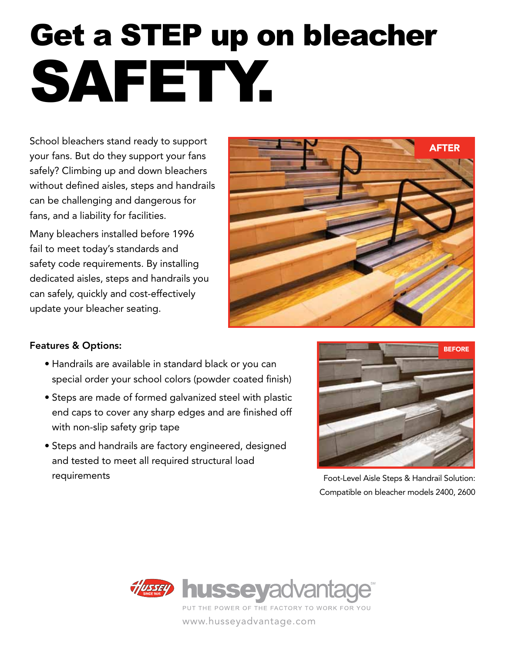# Get a STEP up on bleacher SAFETY.

School bleachers stand ready to support your fans. But do they support your fans safely? Climbing up and down bleachers without defined aisles, steps and handrails can be challenging and dangerous for fans, and a liability for facilities.

Many bleachers installed before 1996 fail to meet today's standards and safety code requirements. By installing dedicated aisles, steps and handrails you can safely, quickly and cost-effectively update your bleacher seating.



#### Features & Options:

- Handrails are available in standard black or you can special order your school colors (powder coated finish)
- Steps are made of formed galvanized steel with plastic end caps to cover any sharp edges and are finished off with non-slip safety grip tape
- Steps and handrails are factory engineered, designed and tested to meet all required structural load requirements



Foot-Level Aisle Steps & Handrail Solution: Compatible on bleacher models 2400, 2600